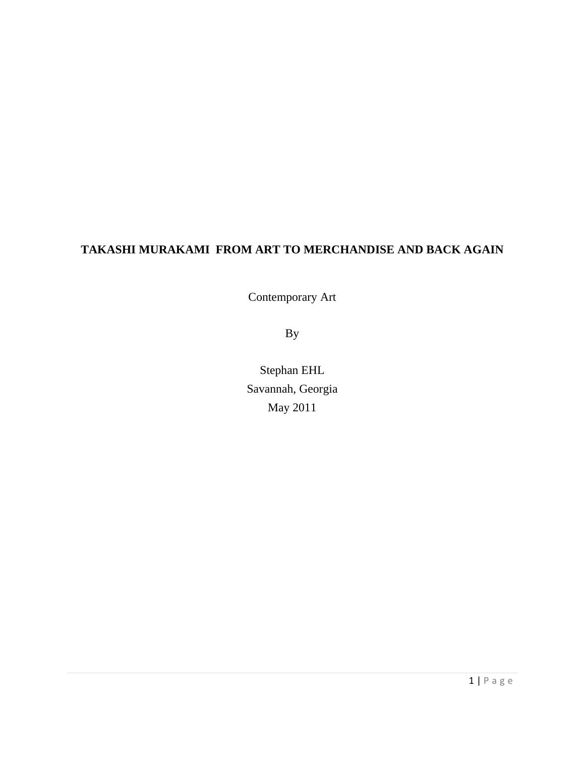# **TAKASHI MURAKAMI FROM ART TO MERCHANDISE AND BACK AGAIN**

Contemporary Art

By

Stephan EHL Savannah, Georgia May 2011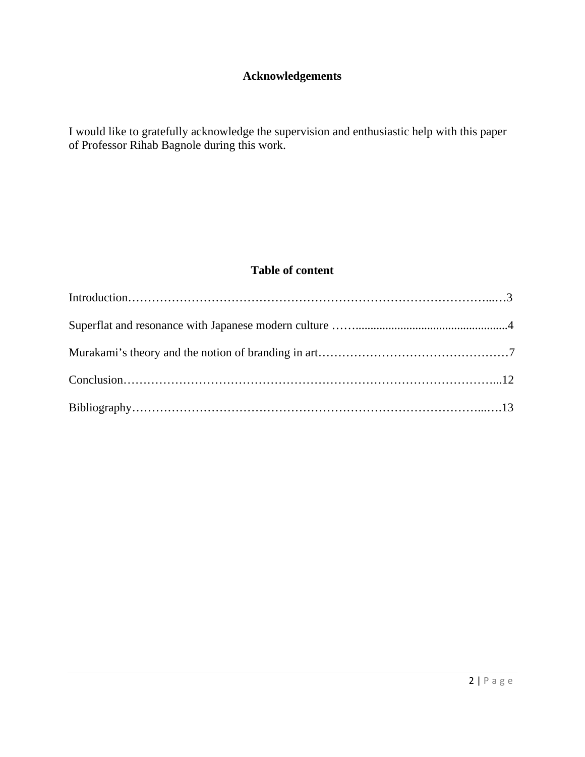## **Acknowledgements**

I would like to gratefully acknowledge the supervision and enthusiastic help with this paper of Professor Rihab Bagnole during this work.

### **Table of content**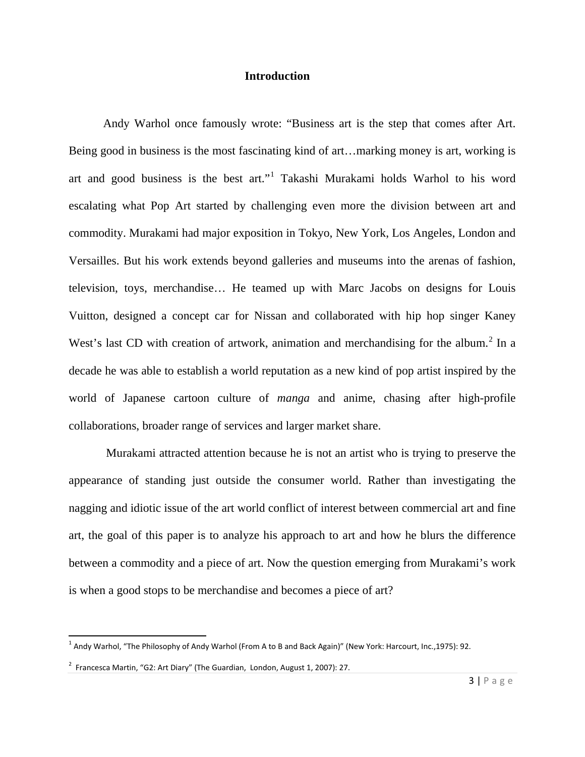### **Introduction**

Andy Warhol once famously wrote: "Business art is the step that comes after Art. Being good in business is the most fascinating kind of art…marking money is art, working is art and good business is the best art."[1](#page-2-0) Takashi Murakami holds Warhol to his word escalating what Pop Art started by challenging even more the division between art and commodity. Murakami had major exposition in Tokyo, New York, Los Angeles, London and Versailles. But his work extends beyond galleries and museums into the arenas of fashion, television, toys, merchandise… He teamed up with Marc Jacobs on designs for Louis Vuitton, designed a concept car for Nissan and collaborated with hip hop singer Kaney West's last CD with creation of artwork, animation and merchandising for the album.<sup>[2](#page-2-1)</sup> In a decade he was able to establish a world reputation as a new kind of pop artist inspired by the world of Japanese cartoon culture of *manga* and anime, chasing after high-profile collaborations, broader range of services and larger market share.

Murakami attracted attention because he is not an artist who is trying to preserve the appearance of standing just outside the consumer world. Rather than investigating the nagging and idiotic issue of the art world conflict of interest between commercial art and fine art, the goal of this paper is to analyze his approach to art and how he blurs the difference between a commodity and a piece of art. Now the question emerging from Murakami's work is when a good stops to be merchandise and becomes a piece of art?

<span id="page-2-0"></span> $1$  Andy Warhol, "The Philosophy of Andy Warhol (From A to B and Back Again)" (New York: Harcourt, Inc.,1975): 92.

<span id="page-2-1"></span> $^2$  Francesca Martin, "G2: Art Diary" (The Guardian, London, August 1, 2007): 27.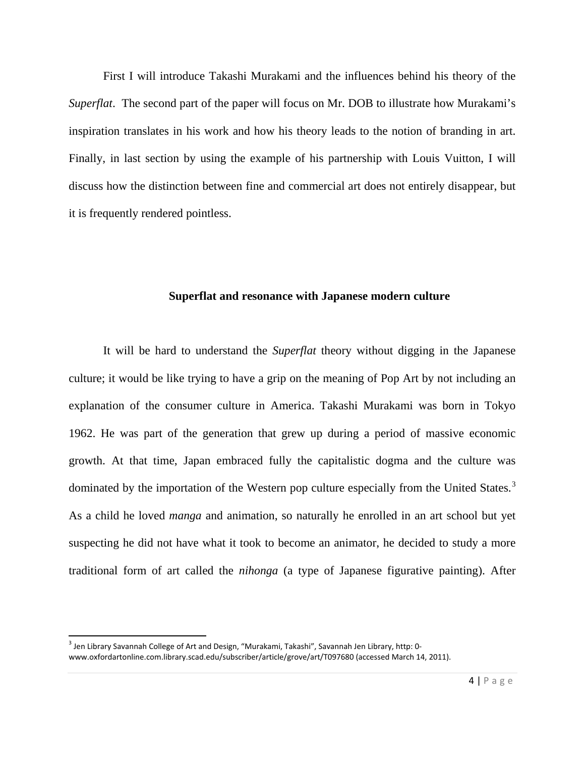First I will introduce Takashi Murakami and the influences behind his theory of the *Superflat*. The second part of the paper will focus on Mr. DOB to illustrate how Murakami's inspiration translates in his work and how his theory leads to the notion of branding in art. Finally, in last section by using the example of his partnership with Louis Vuitton, I will discuss how the distinction between fine and commercial art does not entirely disappear, but it is frequently rendered pointless.

#### **Superflat and resonance with Japanese modern culture**

It will be hard to understand the *Superflat* theory without digging in the Japanese culture; it would be like trying to have a grip on the meaning of Pop Art by not including an explanation of the consumer culture in America. Takashi Murakami was born in Tokyo 1962. He was part of the generation that grew up during a period of massive economic growth. At that time, Japan embraced fully the capitalistic dogma and the culture was dominated by the importation of the Western pop culture especially from the United States.<sup>[3](#page-3-0)</sup> As a child he loved *manga* and animation, so naturally he enrolled in an art school but yet suspecting he did not have what it took to become an animator, he decided to study a more traditional form of art called the *nihonga* (a type of Japanese figurative painting). After

<span id="page-3-0"></span><sup>&</sup>lt;sup>3</sup> Jen Library Savannah College of Art and Design, "Murakami, Takashi", Savannah Jen Library, http: 0www.oxfordartonline.com.library.scad.edu/subscriber/article/grove/art/T097680 (accessed March 14, 2011).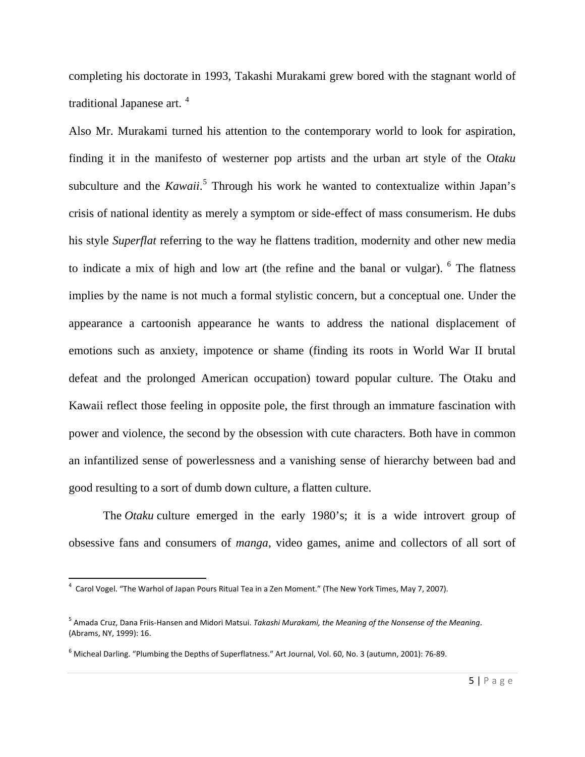completing his doctorate in 1993, Takashi Murakami grew bored with the stagnant world of traditional Japanese art.<sup>[4](#page-4-0)</sup>

Also Mr. Murakami turned his attention to the contemporary world to look for aspiration, finding it in the manifesto of westerner pop artists and the urban art style of the O*taku*  subculture and the *Kawaii*. [5](#page-4-1) Through his work he wanted to contextualize within Japan's crisis of national identity as merely a symptom or side-effect of mass [consumerism.](http://en.wikipedia.org/wiki/Consumerism) He dubs his style *Superflat* referring to the way he flattens tradition, modernity and other new media to indicate a mix of high and low art (the refine and the banal or vulgar). <sup>[6](#page-4-2)</sup> The flatness implies by the name is not much a formal stylistic concern, but a conceptual one. Under the appearance a cartoonish appearance he wants to address the national displacement of emotions such as anxiety, impotence or shame (finding its roots in World War II brutal defeat and the prolonged American occupation) toward popular culture. The Otaku and Kawaii reflect those feeling in opposite pole, the first through an immature fascination with power and violence, the second by the obsession with cute characters. Both have in common an infantilized sense of powerlessness and a vanishing sense of hierarchy between bad and good resulting to a sort of dumb down culture, a flatten culture.

The *Otaku* culture emerged in the early 1980's; it is a wide introvert group of obsessive fans and consumers of *manga*, video games, anime and collectors of all sort of

<span id="page-4-0"></span> <sup>4</sup> Carol Vogel. "The Warhol of Japan Pours Ritual Tea in a Zen Moment." (The New York Times, May 7, 2007).

<span id="page-4-1"></span><sup>5</sup> Amada Cruz, Dana Friis-Hansen and Midori Matsui. *Takashi Murakami, the Meaning of the Nonsense of the Meaning*. (Abrams, NY, 1999): 16.

<span id="page-4-2"></span> $6$  Micheal Darling. "Plumbing the Depths of Superflatness." Art Journal, Vol. 60, No. 3 (autumn, 2001): 76-89.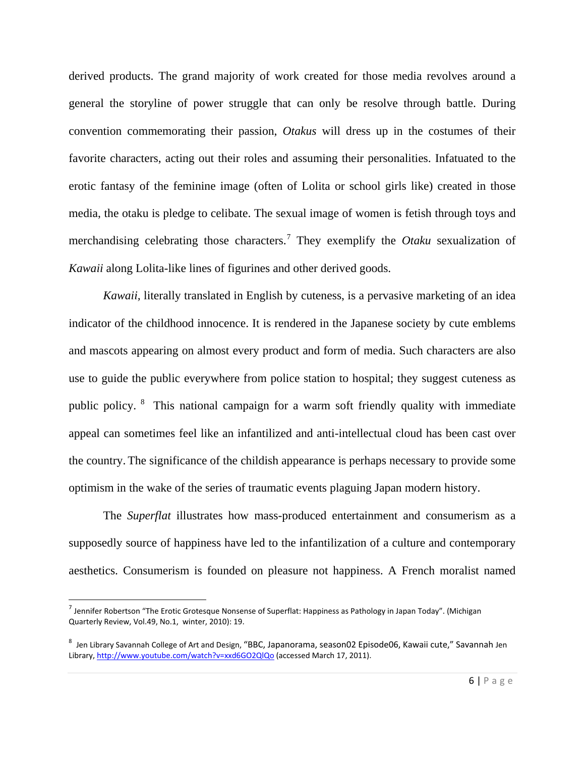derived products. The grand majority of work created for those media revolves around a general the storyline of power struggle that can only be resolve through battle. During convention commemorating their passion, *Otakus* will dress up in the costumes of their favorite characters, acting out their roles and assuming their personalities. Infatuated to the erotic fantasy of the feminine image (often of Lolita or school girls like) created in those media, the otaku is pledge to celibate. The sexual image of women is fetish through toys and merchandising celebrating those characters.[7](#page-5-0) They exemplify the *Otaku* sexualization of *Kawaii* along Lolita-like lines of figurines and other derived goods.

*Kawaii*, literally translated in English by cuteness, is a pervasive marketing of an idea indicator of the childhood innocence. It is rendered in the Japanese society by cute emblems and mascots appearing on almost every product and form of media. Such characters are also use to guide the public everywhere from police station to hospital; they suggest cuteness as public policy. [8](#page-5-1) This national campaign for a warm soft friendly quality with immediate appeal can sometimes feel like an infantilized and anti-intellectual cloud has been cast over the country. The significance of the childish appearance is perhaps necessary to provide some optimism in the wake of the series of traumatic events plaguing Japan modern history.

The *Superflat* illustrates how mass-produced entertainment and consumerism as a supposedly source of happiness have led to the infantilization of a culture and contemporary aesthetics. Consumerism is founded on pleasure not happiness. A French moralist named

<span id="page-5-0"></span> $^7$  Jennifer Robertson "The Erotic Grotesque Nonsense of Superflat: Happiness as Pathology in Japan Today". (Michigan Quarterly Review, Vol.49, No.1, winter, 2010): 19.

<span id="page-5-1"></span> $^8$  Jen Library Savannah College of Art and Design, "BBC, Japanorama, season02 Episode06, Kawaii cute," Savannah Jen Library[, http://www.youtube.com/watch?v=xxd6GO2QlQo](http://www.youtube.com/watch?v=xxd6GO2QlQo) (accessed March 17, 2011).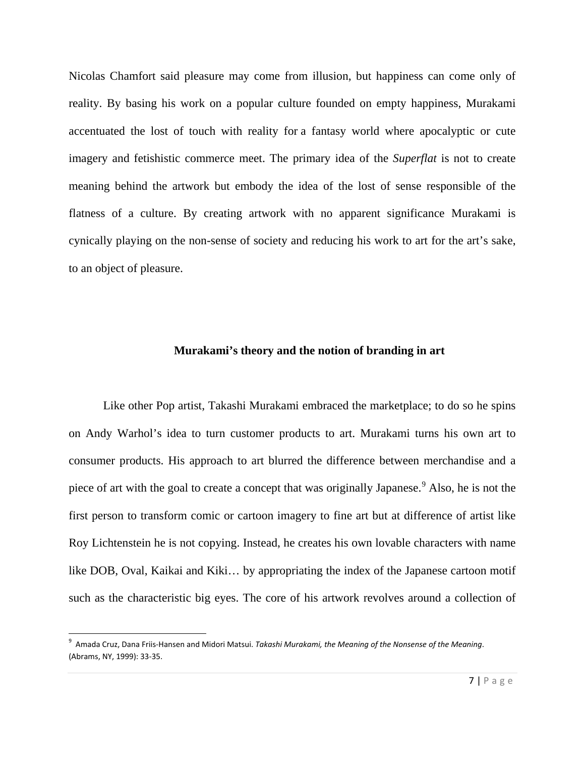Nicolas Chamfort said pleasure may come from illusion, but happiness can come only of reality. By basing his work on a popular culture founded on empty happiness, Murakami accentuated the lost of touch with reality for a fantasy world where apocalyptic or cute imagery and fetishistic commerce meet. The primary idea of the *Superflat* is not to create meaning behind the artwork but embody the idea of the lost of sense responsible of the flatness of a culture. By creating artwork with no apparent significance Murakami is cynically playing on the non-sense of society and reducing his work to art for the art's sake, to an object of pleasure.

#### **Murakami's theory and the notion of branding in art**

Like other Pop artist, Takashi Murakami embraced the marketplace; to do so he spins on Andy Warhol's idea to turn customer products to art. Murakami turns his own art to consumer products. His approach to art blurred the difference between merchandise and a piece of art with the goal to create a concept that was originally Japanese.<sup>[9](#page-6-0)</sup> Also, he is not the first person to transform comic or cartoon imagery to fine art but at difference of artist like Roy Lichtenstein he is not copying. Instead, he creates his own lovable characters with name like DOB, Oval, Kaikai and Kiki… by appropriating the index of the Japanese cartoon motif such as the characteristic big eyes. The core of his artwork revolves around a collection of

<span id="page-6-0"></span><sup>–&</sup>lt;br>9 Amada Cruz, Dana Friis-Hansen and Midori Matsui. *Takashi Murakami, the Meaning of the Nonsense of the Meaning*. (Abrams, NY, 1999): 33-35.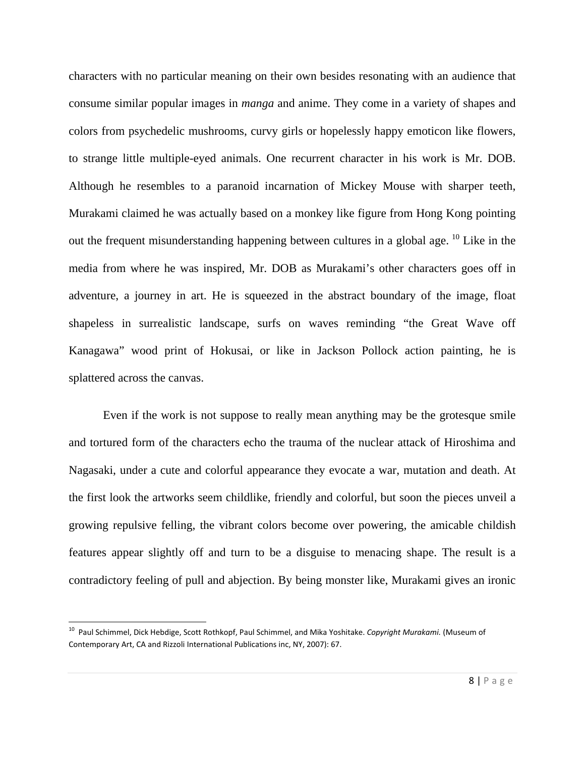characters with no particular meaning on their own besides resonating with an audience that consume similar popular images in *manga* and anime. They come in a variety of shapes and colors from psychedelic mushrooms, curvy girls or hopelessly happy emoticon like flowers, to strange little multiple-eyed animals. One recurrent character in his work is Mr. DOB. Although he resembles to a paranoid incarnation of Mickey Mouse with sharper teeth, Murakami claimed he was actually based on a monkey like figure from Hong Kong pointing out the frequent misunderstanding happening between cultures in a global age.  $^{10}$  $^{10}$  $^{10}$  Like in the media from where he was inspired, Mr. DOB as Murakami's other characters goes off in adventure, a journey in art. He is squeezed in the abstract boundary of the image, float shapeless in surrealistic landscape, surfs on waves reminding "the Great Wave off Kanagawa" wood print of Hokusai, or like in Jackson Pollock action painting, he is splattered across the canvas.

Even if the work is not suppose to really mean anything may be the grotesque smile and tortured form of the characters echo the trauma of the nuclear attack of Hiroshima and Nagasaki, under a cute and colorful appearance they evocate a war, mutation and death. At the first look the artworks seem childlike, friendly and colorful, but soon the pieces unveil a growing repulsive felling, the vibrant colors become over powering, the amicable childish features appear slightly off and turn to be a disguise to menacing shape. The result is a contradictory feeling of pull and abjection. By being monster like, Murakami gives an ironic

<span id="page-7-0"></span> <sup>10</sup> Paul Schimmel, Dick Hebdige, Scott Rothkopf, Paul Schimmel, and Mika Yoshitake. *Copyright Murakami.* (Museum of Contemporary Art, CA and Rizzoli International Publications inc, NY, 2007): 67.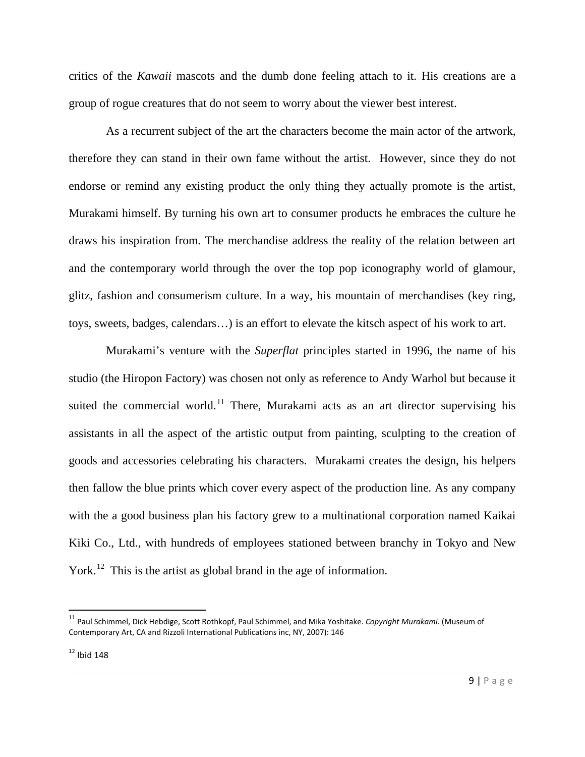critics of the *Kawaii* mascots and the dumb done feeling attach to it. His creations are a group of rogue creatures that do not seem to worry about the viewer best interest.

As a recurrent subject of the art the characters become the main actor of the artwork, therefore they can stand in their own fame without the artist. However, since they do not endorse or remind any existing product the only thing they actually promote is the artist, Murakami himself. By turning his own art to consumer products he embraces the culture he draws his inspiration from. The merchandise address the reality of the relation between art and the contemporary world through the over the top pop iconography world of glamour, glitz, fashion and consumerism culture. In a way, his mountain of merchandises (key ring, toys, sweets, badges, calendars…) is an effort to elevate the kitsch aspect of his work to art.

Murakami's venture with the *Superflat* principles started in 1996, the name of his studio (the Hiropon Factory) was chosen not only as reference to Andy Warhol but because it suited the commercial world.<sup>[11](#page-8-0)</sup> There, Murakami acts as an art director supervising his assistants in all the aspect of the artistic output from painting, sculpting to the creation of goods and accessories celebrating his characters. Murakami creates the design, his helpers then fallow the blue prints which cover every aspect of the production line. As any company with the a good business plan his factory grew to a multinational corporation named Kaikai Kiki Co., Ltd., with hundreds of employees stationed between branchy in Tokyo and New York.<sup>[12](#page-8-1)</sup> This is the artist as global brand in the age of information.

<span id="page-8-0"></span> <sup>11</sup> Paul Schimmel, Dick Hebdige, Scott Rothkopf, Paul Schimmel, and Mika Yoshitake. *Copyright Murakami.* (Museum of Contemporary Art, CA and Rizzoli International Publications inc, NY, 2007): 146

<span id="page-8-1"></span> $12$  Ibid 148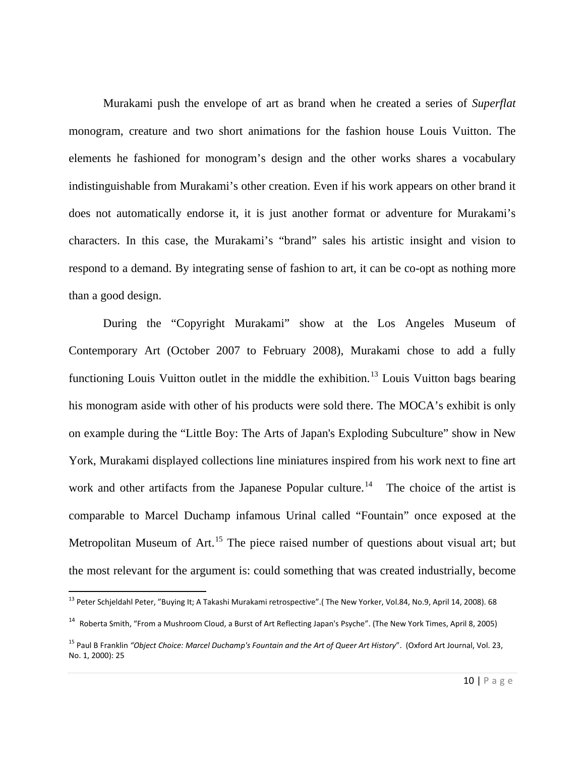Murakami push the envelope of art as brand when he created a series of *Superflat* monogram, creature and two short animations for the fashion house Louis Vuitton. The elements he fashioned for monogram's design and the other works shares a vocabulary indistinguishable from Murakami's other creation. Even if his work appears on other brand it does not automatically endorse it, it is just another format or adventure for Murakami's characters. In this case, the Murakami's "brand" sales his artistic insight and vision to respond to a demand. By integrating sense of fashion to art, it can be co-opt as nothing more than a good design.

During the "Copyright Murakami" show at the Los Angeles Museum of Contemporary Art (October 2007 to February 2008), Murakami chose to add a fully functioning Louis Vuitton outlet in the middle the exhibition.<sup>[13](#page-9-0)</sup> Louis Vuitton bags bearing his monogram aside with other of his products were sold there. The MOCA's exhibit is only on example during the "Little Boy: The Arts of Japan's Exploding Subculture" show in New York, Murakami displayed collections line miniatures inspired from his work next to fine art work and other artifacts from the Japanese Popular culture.<sup>14</sup> The choice of the artist is comparable to Marcel Duchamp infamous Urinal called "Fountain" once exposed at the Metropolitan Museum of Art.<sup>[15](#page-9-2)</sup> The piece raised number of questions about visual art; but the most relevant for the argument is: could something that was created industrially, become

<span id="page-9-0"></span> <sup>13</sup> Peter Schjeldahl Peter, "Buying It; A Takashi Murakami retrospective".( The New Yorker, Vol.84, No.9, April 14, 2008). 68

<span id="page-9-1"></span><sup>14</sup> Roberta Smith, "From a Mushroom Cloud, a Burst of Art Reflecting Japan's Psyche". (The New York Times, April 8, 2005)

<span id="page-9-2"></span><sup>15</sup> Paul B Franklin *"Object Choice: Marcel Duchamp's Fountain and the Art of Queer Art History*". (Oxford Art Journal, Vol. 23, No. 1, 2000): 25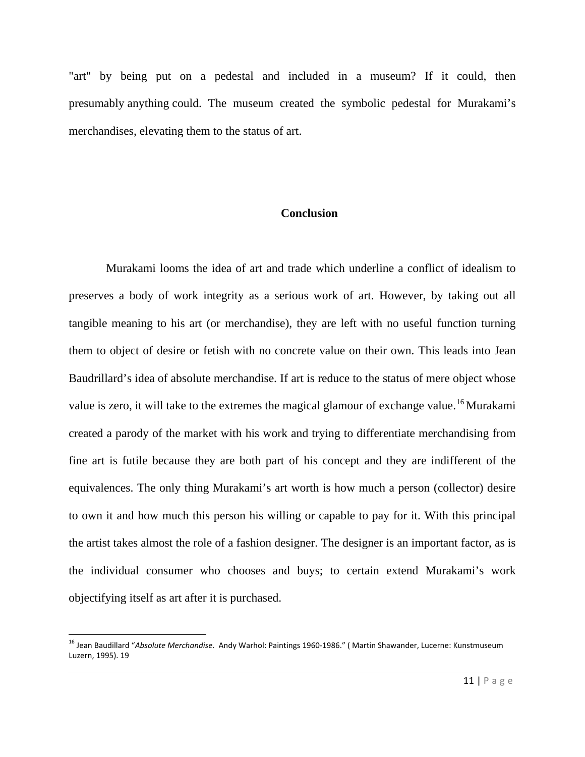"art" by being put on a pedestal and included in a museum? If it could, then presumably anything could. The museum created the symbolic pedestal for Murakami's merchandises, elevating them to the status of art.

#### **Conclusion**

Murakami looms the idea of art and trade which underline a conflict of idealism to preserves a body of work integrity as a serious work of art. However, by taking out all tangible meaning to his art (or merchandise), they are left with no useful function turning them to object of desire or fetish with no concrete value on their own. This leads into Jean Baudrillard's idea of absolute merchandise. If art is reduce to the status of mere object whose value is zero, it will take to the extremes the magical glamour of exchange value.<sup>[16](#page-10-0)</sup> Murakami created a parody of the market with his work and trying to differentiate merchandising from fine art is futile because they are both part of his concept and they are indifferent of the equivalences. The only thing Murakami's art worth is how much a person (collector) desire to own it and how much this person his willing or capable to pay for it. With this principal the artist takes almost the role of a fashion designer. The designer is an important factor, as is the individual consumer who chooses and buys; to certain extend Murakami's work objectifying itself as art after it is purchased.

<span id="page-10-0"></span> <sup>16</sup> Jean Baudillard "*Absolute Merchandise*. Andy Warhol: Paintings 1960-1986." ( Martin Shawander, Lucerne: Kunstmuseum Luzern, 1995). 19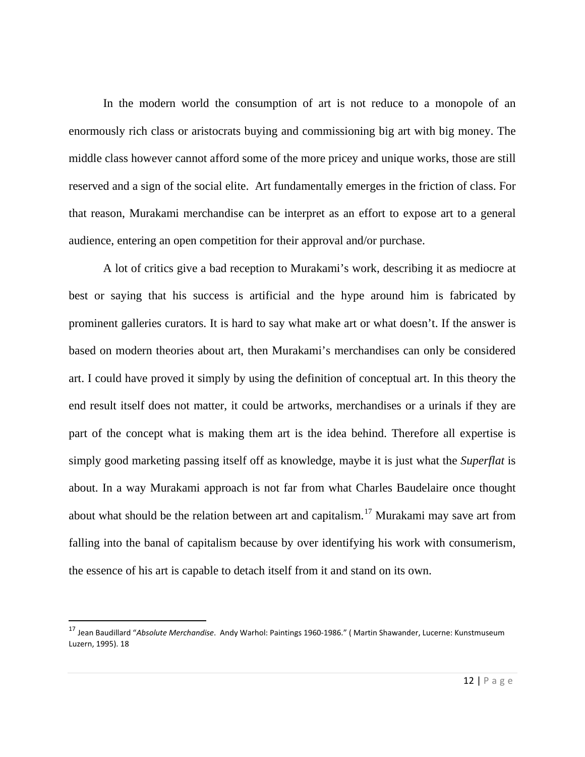In the modern world the consumption of art is not reduce to a monopole of an enormously rich class or aristocrats buying and commissioning big art with big money. The middle class however cannot afford some of the more pricey and unique works, those are still reserved and a sign of the social elite. Art fundamentally emerges in the friction of class. For that reason, Murakami merchandise can be interpret as an effort to expose art to a general audience, entering an open competition for their approval and/or purchase.

A lot of critics give a bad reception to Murakami's work, describing it as mediocre at best or saying that his success is artificial and the hype around him is fabricated by prominent galleries curators. It is hard to say what make art or what doesn't. If the answer is based on modern theories about art, then Murakami's merchandises can only be considered art. I could have proved it simply by using the definition of conceptual art. In this theory the end result itself does not matter, it could be artworks, merchandises or a urinals if they are part of the concept what is making them art is the idea behind. Therefore all expertise is simply good marketing passing itself off as knowledge, maybe it is just what the *Superflat* is about. In a way Murakami approach is not far from what Charles Baudelaire once thought about what should be the relation between art and capitalism.<sup>[17](#page-11-0)</sup> Murakami may save art from falling into the banal of capitalism because by over identifying his work with consumerism, the essence of his art is capable to detach itself from it and stand on its own.

<span id="page-11-0"></span> <sup>17</sup> Jean Baudillard "*Absolute Merchandise*. Andy Warhol: Paintings 1960-1986." ( Martin Shawander, Lucerne: Kunstmuseum Luzern, 1995). 18